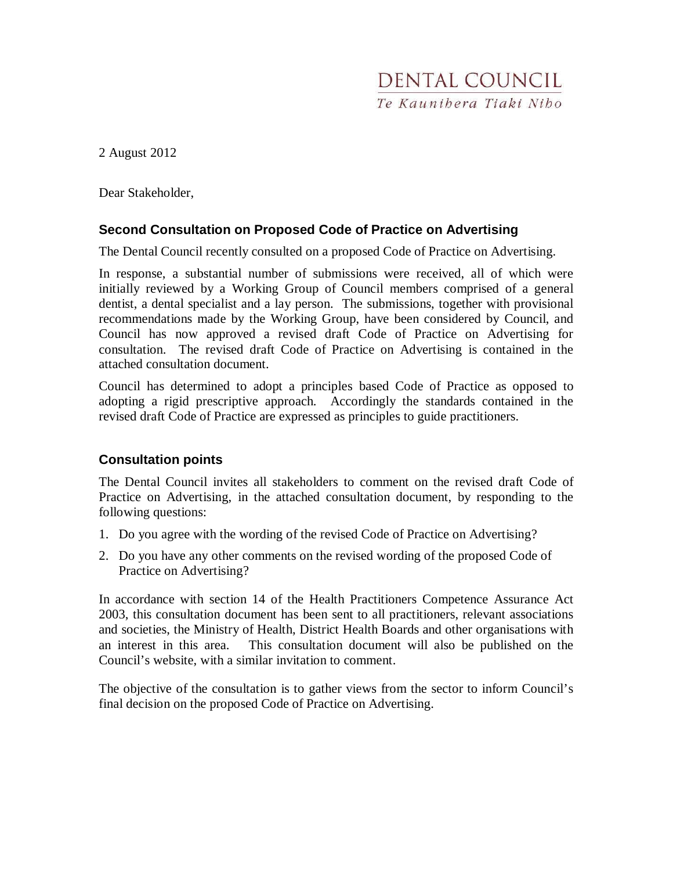

2 August 2012

Dear Stakeholder,

# **Second Consultation on Proposed Code of Practice on Advertising**

The Dental Council recently consulted on a proposed Code of Practice on Advertising.

In response, a substantial number of submissions were received, all of which were initially reviewed by a Working Group of Council members comprised of a general dentist, a dental specialist and a lay person. The submissions, together with provisional recommendations made by the Working Group, have been considered by Council, and Council has now approved a revised draft Code of Practice on Advertising for consultation. The revised draft Code of Practice on Advertising is contained in the attached consultation document.

Council has determined to adopt a principles based Code of Practice as opposed to adopting a rigid prescriptive approach. Accordingly the standards contained in the revised draft Code of Practice are expressed as principles to guide practitioners.

#### **Consultation points**

The Dental Council invites all stakeholders to comment on the revised draft Code of Practice on Advertising, in the attached consultation document, by responding to the following questions:

- 1. Do you agree with the wording of the revised Code of Practice on Advertising?
- 2. Do you have any other comments on the revised wording of the proposed Code of Practice on Advertising?

In accordance with section 14 of the Health Practitioners Competence Assurance Act 2003, this consultation document has been sent to all practitioners, relevant associations and societies, the Ministry of Health, District Health Boards and other organisations with an interest in this area. This consultation document will also be published on the Council's website, with a similar invitation to comment.

The objective of the consultation is to gather views from the sector to inform Council's final decision on the proposed Code of Practice on Advertising.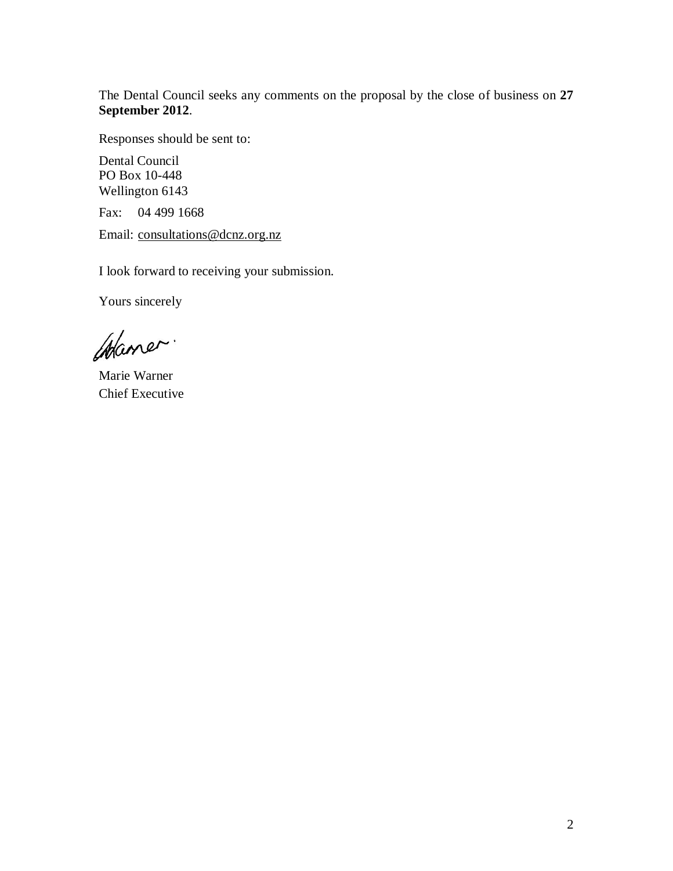The Dental Council seeks any comments on the proposal by the close of business on **27 September 2012**.

Responses should be sent to:

Dental Council PO Box 10-448 Wellington 6143

Fax: 04 499 1668

Email: consultations@dcnz.org.nz

I look forward to receiving your submission.

Yours sincerely

Waner.

Marie Warner Chief Executive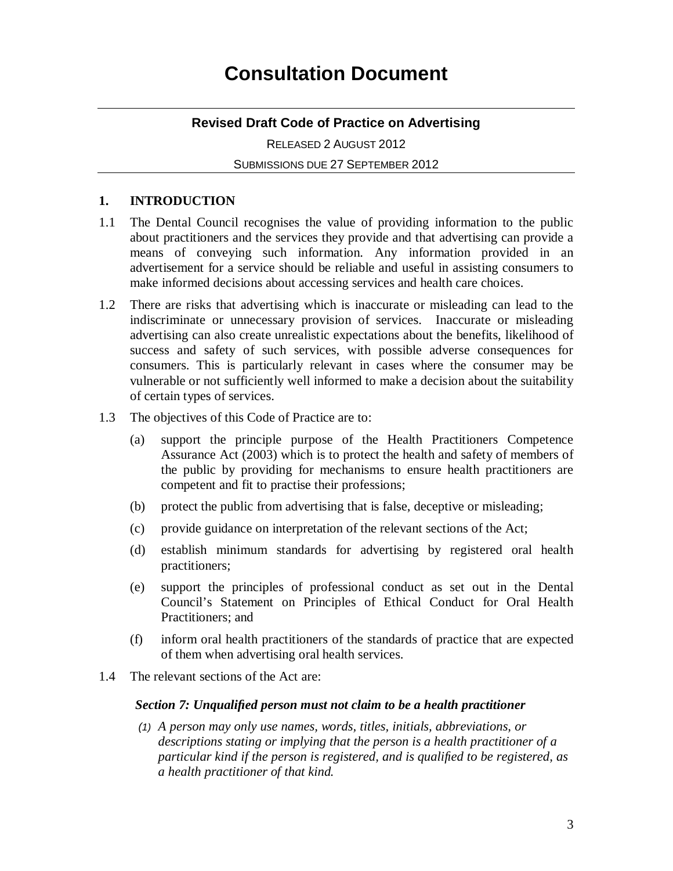# **Revised Draft Code of Practice on Advertising**

RELEASED 2 AUGUST 2012 SUBMISSIONS DUE 27 SEPTEMBER 2012

### **1. INTRODUCTION**

- 1.1 The Dental Council recognises the value of providing information to the public about practitioners and the services they provide and that advertising can provide a means of conveying such information. Any information provided in an advertisement for a service should be reliable and useful in assisting consumers to make informed decisions about accessing services and health care choices.
- 1.2 There are risks that advertising which is inaccurate or misleading can lead to the indiscriminate or unnecessary provision of services. Inaccurate or misleading advertising can also create unrealistic expectations about the benefits, likelihood of success and safety of such services, with possible adverse consequences for consumers. This is particularly relevant in cases where the consumer may be vulnerable or not sufficiently well informed to make a decision about the suitability of certain types of services.
- 1.3 The objectives of this Code of Practice are to:
	- (a) support the principle purpose of the Health Practitioners Competence Assurance Act (2003) which is to protect the health and safety of members of the public by providing for mechanisms to ensure health practitioners are competent and fit to practise their professions;
	- (b) protect the public from advertising that is false, deceptive or misleading;
	- (c) provide guidance on interpretation of the relevant sections of the Act;
	- (d) establish minimum standards for advertising by registered oral health practitioners;
	- (e) support the principles of professional conduct as set out in the Dental Council's Statement on Principles of Ethical Conduct for Oral Health Practitioners; and
	- (f) inform oral health practitioners of the standards of practice that are expected of them when advertising oral health services.
- 1.4 The relevant sections of the Act are:

#### *Section 7: Unqualified person must not claim to be a health practitioner*

(1) *A person may only use names, words, titles, initials, abbreviations, or descriptions stating or implying that the person is a health practitioner of a particular kind if the person is registered, and is qualified to be registered, as a health practitioner of that kind.*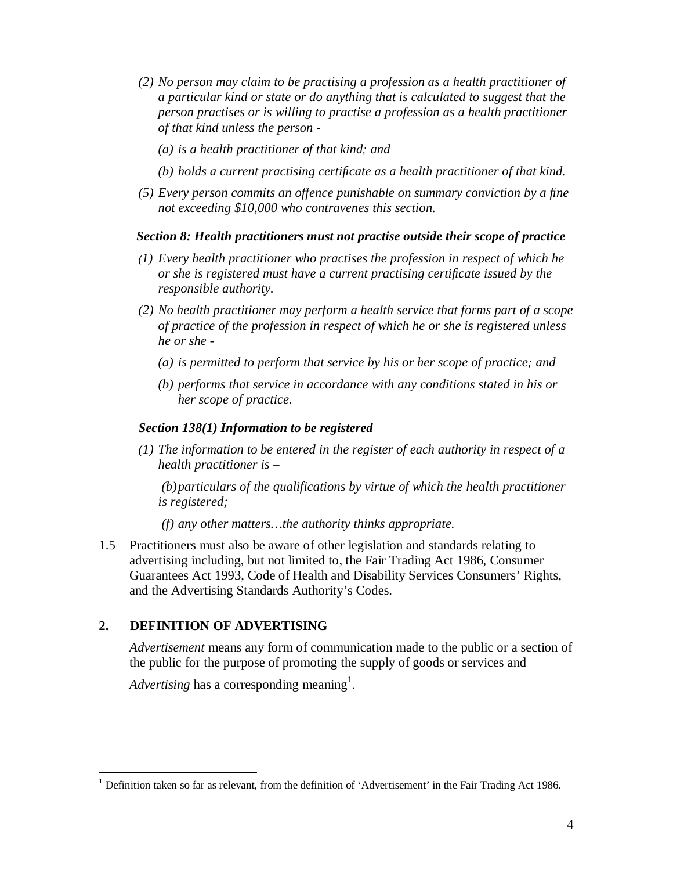- *(2) No person may claim to be practising a profession as a health practitioner of a particular kind or state or do anything that is calculated to suggest that the person practises or is willing to practise a profession as a health practitioner of that kind unless the person -* 
	- *(a) is a health practitioner of that kind*; *and*
	- *(b) holds a current practising certificate as a health practitioner of that kind.*
- *(5) Every person commits an offence punishable on summary conviction by a fine not exceeding \$10,000 who contravenes this section.*

#### *Section 8: Health practitioners must not practise outside their scope of practice*

- (*1) Every health practitioner who practises the profession in respect of which he or she is registered must have a current practising certificate issued by the responsible authority.*
- *(2) No health practitioner may perform a health service that forms part of a scope of practice of the profession in respect of which he or she is registered unless he or she -* 
	- *(a) is permitted to perform that service by his or her scope of practice*; *and*
	- *(b) performs that service in accordance with any conditions stated in his or her scope of practice.*

#### *Section 138(1) Information to be registered*

*(1) The information to be entered in the register of each authority in respect of a health practitioner is –* 

 *(b) particulars of the qualifications by virtue of which the health practitioner is registered;* 

 *(f) any other matters…the authority thinks appropriate.* 

1.5 Practitioners must also be aware of other legislation and standards relating to advertising including, but not limited to, the Fair Trading Act 1986, Consumer Guarantees Act 1993, Code of Health and Disability Services Consumers' Rights, and the Advertising Standards Authority's Codes.

# **2. DEFINITION OF ADVERTISING**

*Advertisement* means any form of communication made to the public or a section of the public for the purpose of promoting the supply of goods or services and

Advertising has a corresponding meaning<sup>1</sup>.

<sup>1&</sup>lt;br><sup>1</sup> Definition taken so far as relevant, from the definition of 'Advertisement' in the Fair Trading Act 1986.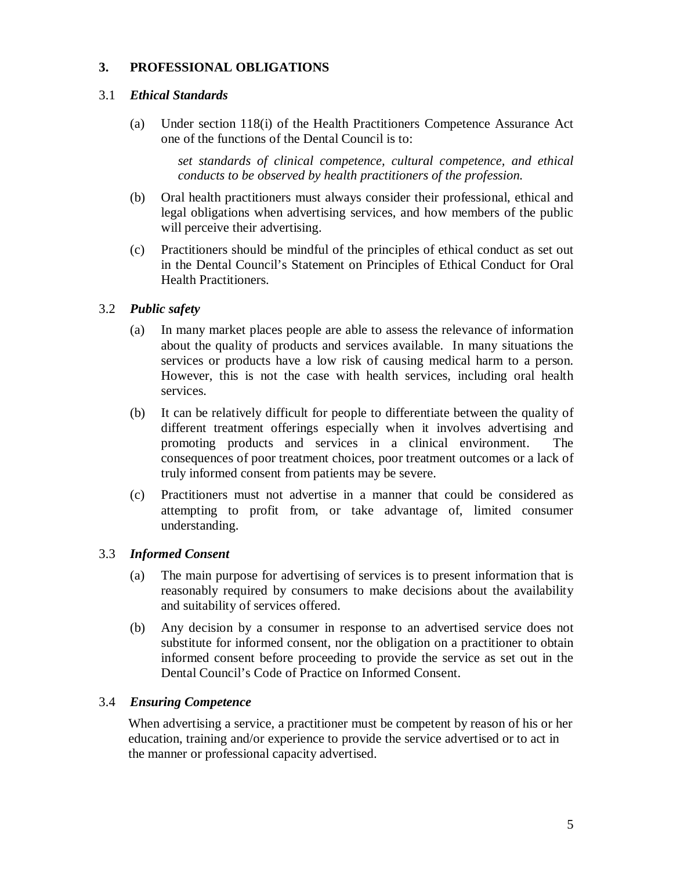# **3. PROFESSIONAL OBLIGATIONS**

### 3.1 *Ethical Standards*

(a) Under section 118(i) of the Health Practitioners Competence Assurance Act one of the functions of the Dental Council is to:

> *set standards of clinical competence, cultural competence, and ethical conducts to be observed by health practitioners of the profession.*

- (b) Oral health practitioners must always consider their professional, ethical and legal obligations when advertising services, and how members of the public will perceive their advertising.
- (c) Practitioners should be mindful of the principles of ethical conduct as set out in the Dental Council's Statement on Principles of Ethical Conduct for Oral Health Practitioners.

### 3.2 *Public safety*

- (a) In many market places people are able to assess the relevance of information about the quality of products and services available. In many situations the services or products have a low risk of causing medical harm to a person. However, this is not the case with health services, including oral health services.
- (b) It can be relatively difficult for people to differentiate between the quality of different treatment offerings especially when it involves advertising and promoting products and services in a clinical environment. The consequences of poor treatment choices, poor treatment outcomes or a lack of truly informed consent from patients may be severe.
- (c) Practitioners must not advertise in a manner that could be considered as attempting to profit from, or take advantage of, limited consumer understanding.

#### 3.3 *Informed Consent*

- (a) The main purpose for advertising of services is to present information that is reasonably required by consumers to make decisions about the availability and suitability of services offered.
- (b) Any decision by a consumer in response to an advertised service does not substitute for informed consent, nor the obligation on a practitioner to obtain informed consent before proceeding to provide the service as set out in the Dental Council's Code of Practice on Informed Consent.

### 3.4 *Ensuring Competence*

 When advertising a service, a practitioner must be competent by reason of his or her education, training and/or experience to provide the service advertised or to act in the manner or professional capacity advertised.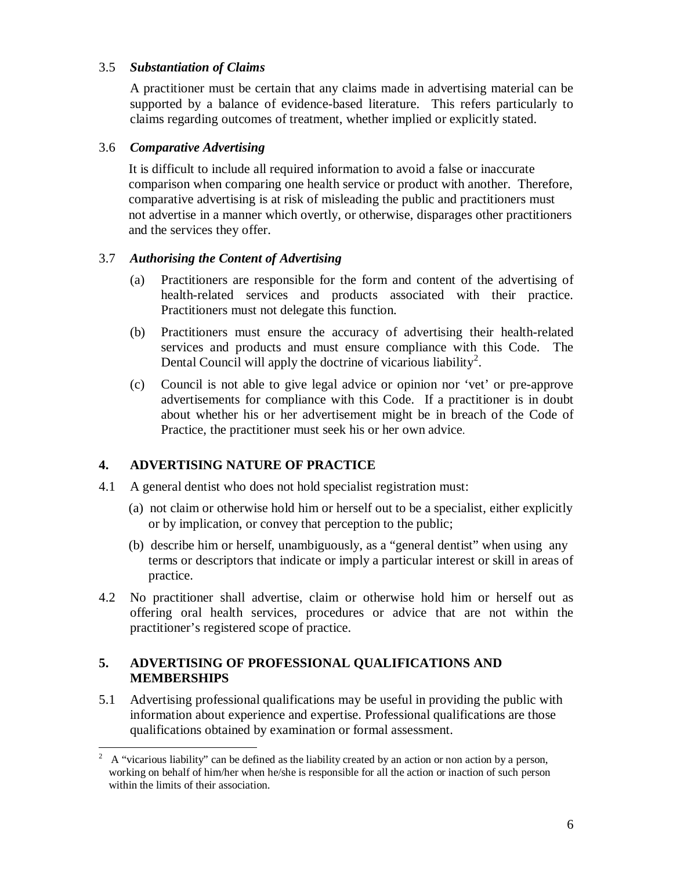### 3.5 *Substantiation of Claims*

A practitioner must be certain that any claims made in advertising material can be supported by a balance of evidence-based literature. This refers particularly to claims regarding outcomes of treatment, whether implied or explicitly stated.

### 3.6 *Comparative Advertising*

It is difficult to include all required information to avoid a false or inaccurate comparison when comparing one health service or product with another. Therefore, comparative advertising is at risk of misleading the public and practitioners must not advertise in a manner which overtly, or otherwise, disparages other practitioners and the services they offer.

### 3.7 *Authorising the Content of Advertising*

- (a) Practitioners are responsible for the form and content of the advertising of health-related services and products associated with their practice. Practitioners must not delegate this function.
- (b) Practitioners must ensure the accuracy of advertising their health-related services and products and must ensure compliance with this Code. The Dental Council will apply the doctrine of vicarious liability<sup>2</sup>.
- (c) Council is not able to give legal advice or opinion nor 'vet' or pre-approve advertisements for compliance with this Code. If a practitioner is in doubt about whether his or her advertisement might be in breach of the Code of Practice, the practitioner must seek his or her own advice.

# **4. ADVERTISING NATURE OF PRACTICE**

- 4.1 A general dentist who does not hold specialist registration must:
	- (a) not claim or otherwise hold him or herself out to be a specialist, either explicitly or by implication, or convey that perception to the public;
	- (b) describe him or herself, unambiguously, as a "general dentist" when using any terms or descriptors that indicate or imply a particular interest or skill in areas of practice.
- 4.2 No practitioner shall advertise, claim or otherwise hold him or herself out as offering oral health services, procedures or advice that are not within the practitioner's registered scope of practice.

# **5. ADVERTISING OF PROFESSIONAL QUALIFICATIONS AND MEMBERSHIPS**

5.1 Advertising professional qualifications may be useful in providing the public with information about experience and expertise. Professional qualifications are those qualifications obtained by examination or formal assessment.

 $\frac{1}{2}$  A "vicarious liability" can be defined as the liability created by an action or non action by a person, working on behalf of him/her when he/she is responsible for all the action or inaction of such person within the limits of their association.